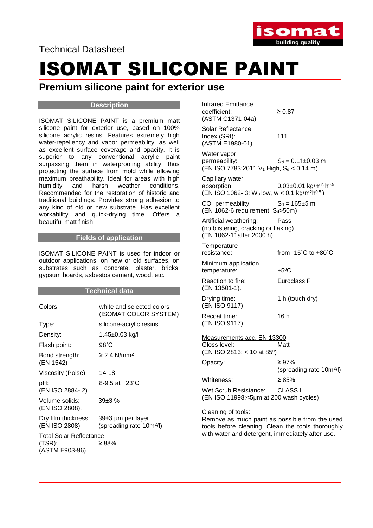Technical Datasheet



# ISOMAT SILICONE PAINT

### **Premium silicone paint for exterior use**

#### **Description**

ISOMAT SILICONE PAINT is a premium matt silicone paint for exterior use, based on 100% silicone acrylic resins. Features extremely high water-repellency and vapor permeability, as well as excellent surface coverage and opacity. It is superior to any conventional acrylic paint surpassing them in waterproofing ability, thus protecting the surface from mold while allowing maximum breathability. Ideal for areas with high humidity and harsh weather conditions. Recommended for the restoration of historic and traditional buildings. Provides strong adhesion to any kind of old or new substrate. Has excellent workability and quick-drying time. Offers a beautiful matt finish.

#### **Fields of application**

ISOMAT SILICONE PAINT is used for indoor or outdoor applications, on new or old surfaces, on substrates such as concrete, plaster, bricks, gypsum boards, asbestos cement, wood, etc.

#### **Technical data**

| Colors:                                                    | white and selected colors<br>(ISOMAT COLOR SYSTEM)        |
|------------------------------------------------------------|-----------------------------------------------------------|
| Type:                                                      | silicone-acrylic resins                                   |
| Density:                                                   | 1.45±0.03 kg/l                                            |
| Flash point:                                               | $98^\circ C$                                              |
| Bond strength:<br>(EN 1542)                                | $\geq$ 2.4 N/mm <sup>2</sup>                              |
| Viscosity (Poise):                                         | 14-18                                                     |
| pH:<br>(EN ISO 2884-2)                                     | 8-9.5 at $+23^{\circ}$ C                                  |
| Volume solids:<br>(EN ISO 2808).                           | $39\pm3%$                                                 |
| Dry film thickness:<br>(EN ISO 2808)                       | 39±3 µm per layer<br>(spreading rate 10m <sup>2</sup> /l) |
| <b>Total Solar Reflectance</b><br>(TSR):<br>(ASTM E903-96) | ≥ 88%                                                     |

| Infrared Emittance |             |
|--------------------|-------------|
| coefficient:       | $\geq 0.87$ |
| (ASTM C1371-04a)   |             |
| Solar Reflectance  |             |

Index (SRI): 111 (ASTM E1980-01)

Water vapor<br>permeability:  $S_d = 0.11 \pm 0.03$  m  $(EN ISO 7783:2011 V<sub>1</sub> High, S<sub>d</sub> < 0.14 m)$ 

Capillary water absorption:  $0.03 \pm 0.01$  kg/m<sup>2</sup>·h<sup>0.5</sup>  $(EN ISO 1062-3: W<sub>3</sub> low, w < 0.1 kg/m<sup>2</sup>h<sup>0.5</sup>)$ 

 $CO<sub>2</sub>$  permeability:  $S<sub>d</sub> = 165±5 m$  $(EN 1062-6$  requirement:  $S<sub>d</sub> > 50m$ )

Artificial weathering: Pass (no blistering, cracking or flaking) (EN 1062-11after 2000 h)

**Temperature** resistance: from -15˚C to +80˚C

Minimum application temperature: +5<sup>0</sup>C Reaction to fire: Euroclass F

(EN 13501-1). Drying time: 1 h (touch dry)

(EN ISO 9117) Recoat time: 16 h (EN ISO 9117)

Measurements acc. EN 13300

Gloss level: Matt (EN ISO 2813: < 10 at 85°)

| Opacity:                                                        | $\geq 97\%$<br>(spreading rate 10m <sup>2</sup> /l) |
|-----------------------------------------------------------------|-----------------------------------------------------|
| Whiteness:                                                      | $\geq$ 8.5%                                         |
| Wet Scrub Resistance:<br>(EN ISO 11998:<5µm at 200 wash cycles) | CLASS I                                             |

Cleaning of tools:

Remove as much paint as possible from the used tools before cleaning. Clean the tools thoroughly with water and detergent, immediately after use.